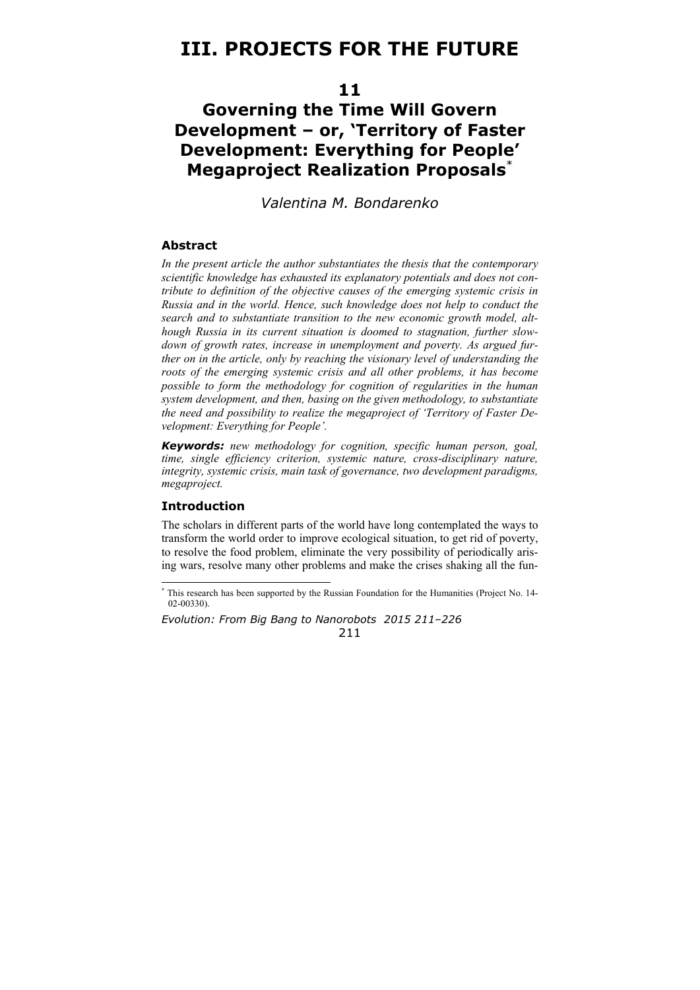# **III. PROJECTS FOR THE FUTURE**

## **11**

# **Governing the Time Will Govern Development – or, 'Territory of Faster Development: Everything for People' Megaproject Realization Proposals**\*

*Valentina M. Bondarenko* 

#### **Abstract**

*In the present article the author substantiates the thesis that the contemporary scientific knowledge has exhausted its explanatory potentials and does not contribute to definition of the objective causes of the emerging systemic crisis in Russia and in the world. Hence, such knowledge does not help to conduct the search and to substantiate transition to the new economic growth model, although Russia in its current situation is doomed to stagnation, further slowdown of growth rates, increase in unemployment and poverty. As argued further on in the article, only by reaching the visionary level of understanding the roots of the emerging systemic crisis and all other problems, it has become possible to form the methodology for cognition of regularities in the human system development, and then, basing on the given methodology, to substantiate the need and possibility to realize the megaproject of 'Territory of Faster Development: Everything for People'.* 

*Keywords: new methodology for cognition, specific human person, goal, time, single efficiency criterion, systemic nature, cross-disciplinary nature, integrity, systemic crisis, main task of governance, two development paradigms, megaproject.* 

#### **Introduction**

The scholars in different parts of the world have long contemplated the ways to transform the world order to improve ecological situation, to get rid of poverty, to resolve the food problem, eliminate the very possibility of periodically arising wars, resolve many other problems and make the crises shaking all the fun-

*Evolution: From Big Bang to Nanorobots 2015 211–226*  211

 \* This research has been supported by the Russian Foundation for the Humanities (Project No. 14- 02-00330).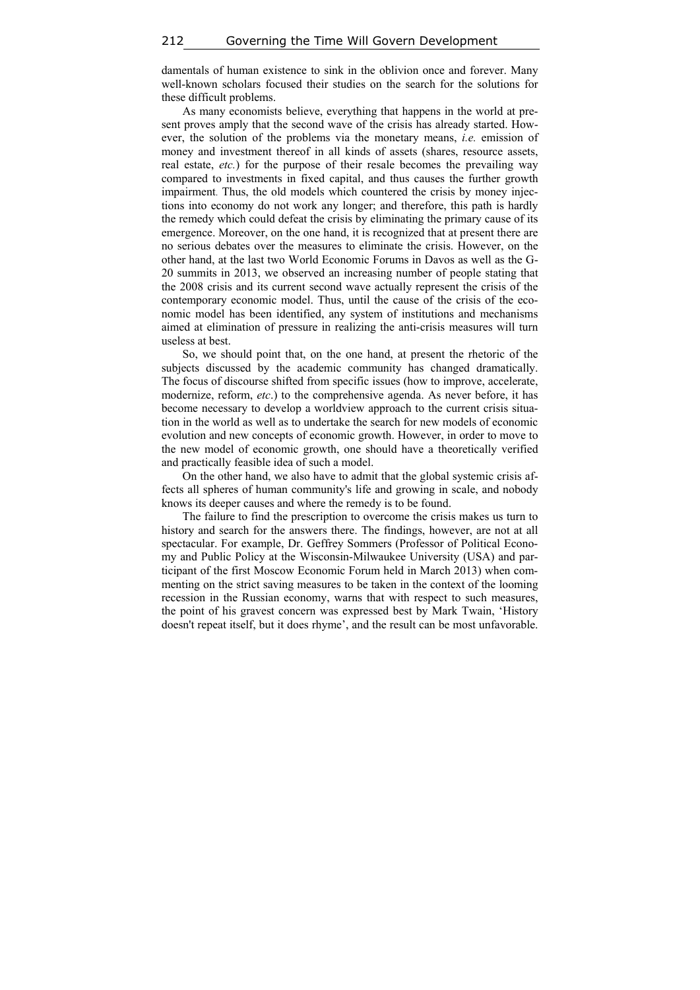damentals of human existence to sink in the oblivion once and forever. Many well-known scholars focused their studies on the search for the solutions for these difficult problems.

As many economists believe, everything that happens in the world at present proves amply that the second wave of the crisis has already started. However, the solution of the problems via the monetary means, *i.e.* emission of money and investment thereof in all kinds of assets (shares, resource assets, real estate, *etc.*) for the purpose of their resale becomes the prevailing way compared to investments in fixed capital, and thus causes the further growth impairment. Thus, the old models which countered the crisis by money injections into economy do not work any longer; and therefore, this path is hardly the remedy which could defeat the crisis by eliminating the primary cause of its emergence. Moreover, on the one hand, it is recognized that at present there are no serious debates over the measures to eliminate the crisis. However, on the other hand, at the last two World Economic Forums in Davos as well as the G-20 summits in 2013, we observed an increasing number of people stating that the 2008 crisis and its current second wave actually represent the crisis of the contemporary economic model. Thus, until the cause of the crisis of the economic model has been identified, any system of institutions and mechanisms aimed at elimination of pressure in realizing the anti-crisis measures will turn useless at best.

So, we should point that, on the one hand, at present the rhetoric of the subjects discussed by the academic community has changed dramatically. The focus of discourse shifted from specific issues (how to improve, accelerate, modernize, reform, *etc*.) to the comprehensive agenda. As never before, it has become necessary to develop a worldview approach to the current crisis situation in the world as well as to undertake the search for new models of economic evolution and new concepts of economic growth. However, in order to move to the new model of economic growth, one should have a theoretically verified and practically feasible idea of such a model.

On the other hand, we also have to admit that the global systemic crisis affects all spheres of human community's life and growing in scale, and nobody knows its deeper causes and where the remedy is to be found.

The failure to find the prescription to overcome the crisis makes us turn to history and search for the answers there. The findings, however, are not at all spectacular. For example, Dr. Geffrey Sommers (Professor of Political Economy and Public Policy at the Wisconsin-Milwaukee University (USA) and participant of the first Moscow Economic Forum held in March 2013) when commenting on the strict saving measures to be taken in the context of the looming recession in the Russian economy, warns that with respect to such measures, the point of his gravest concern was expressed best by Mark Twain, 'History doesn't repeat itself, but it does rhyme', and the result can be most unfavorable.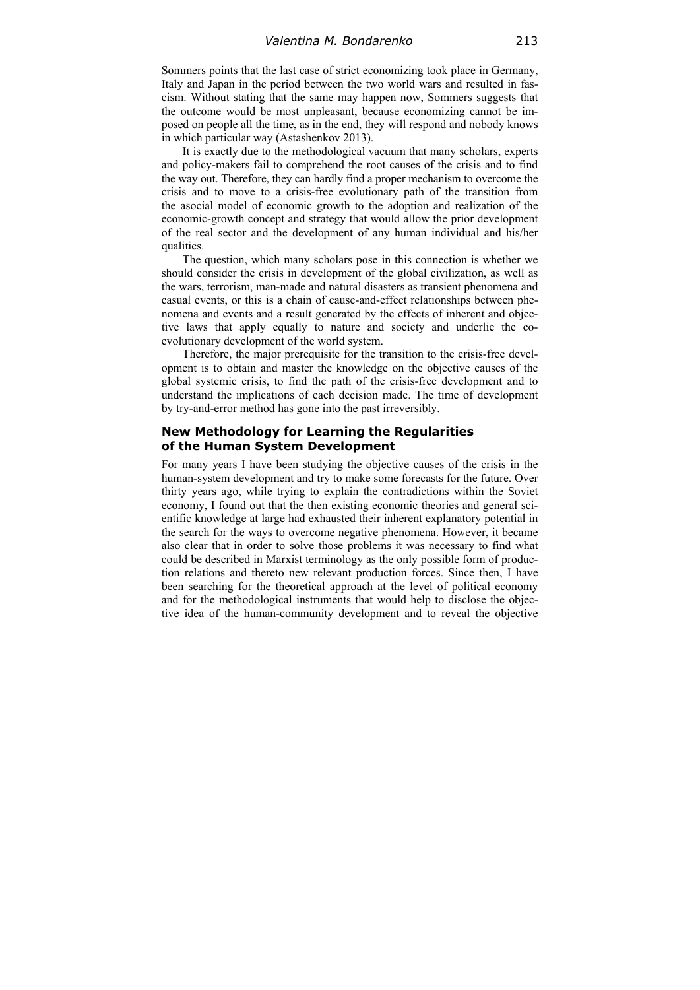Sommers points that the last case of strict economizing took place in Germany, Italy and Japan in the period between the two world wars and resulted in fascism. Without stating that the same may happen now, Sommers suggests that the outcome would be most unpleasant, because economizing cannot be imposed on people all the time, as in the end, they will respond and nobody knows in which particular way (Astashenkov 2013).

It is exactly due to the methodological vacuum that many scholars, experts and policy-makers fail to comprehend the root causes of the crisis and to find the way out. Therefore, they can hardly find a proper mechanism to overcome the crisis and to move to a crisis-free evolutionary path of the transition from the asocial model of economic growth to the adoption and realization of the economic-growth concept and strategy that would allow the prior development of the real sector and the development of any human individual and his/her qualities.

The question, which many scholars pose in this connection is whether we should consider the crisis in development of the global civilization, as well as the wars, terrorism, man-made and natural disasters as transient phenomena and casual events, or this is a chain of cause-and-effect relationships between phenomena and events and a result generated by the effects of inherent and objective laws that apply equally to nature and society and underlie the coevolutionary development of the world system.

Therefore, the major prerequisite for the transition to the crisis-free development is to obtain and master the knowledge on the objective causes of the global systemic crisis, to find the path of the crisis-free development and to understand the implications of each decision made. The time of development by try-and-error method has gone into the past irreversibly.

#### **New Methodology for Learning the Regularities of the Human System Development**

For many years I have been studying the objective causes of the crisis in the human-system development and try to make some forecasts for the future. Over thirty years ago, while trying to explain the contradictions within the Soviet economy, I found out that the then existing economic theories and general scientific knowledge at large had exhausted their inherent explanatory potential in the search for the ways to overcome negative phenomena. However, it became also clear that in order to solve those problems it was necessary to find what could be described in Marxist terminology as the only possible form of production relations and thereto new relevant production forces. Since then, I have been searching for the theoretical approach at the level of political economy and for the methodological instruments that would help to disclose the objective idea of the human-community development and to reveal the objective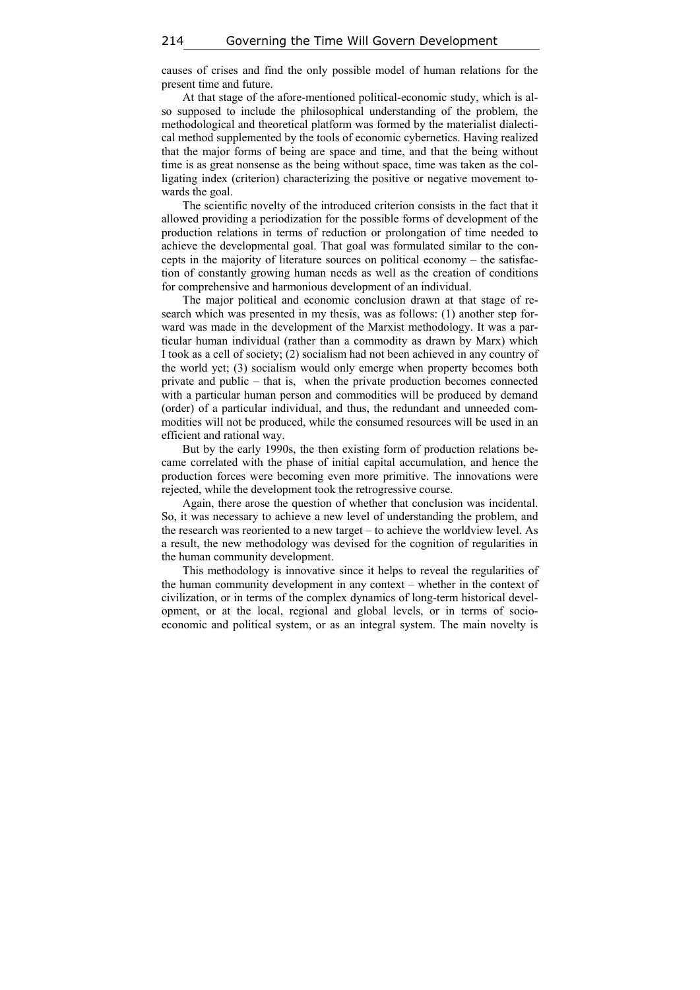causes of crises and find the only possible model of human relations for the present time and future.

At that stage of the afore-mentioned political-economic study, which is also supposed to include the philosophical understanding of the problem, the methodological and theoretical platform was formed by the materialist dialectical method supplemented by the tools of economic cybernetics. Having realized that the major forms of being are space and time, and that the being without time is as great nonsense as the being without space, time was taken as the colligating index (criterion) characterizing the positive or negative movement towards the goal.

The scientific novelty of the introduced criterion consists in the fact that it allowed providing a periodization for the possible forms of development of the production relations in terms of reduction or prolongation of time needed to achieve the developmental goal. That goal was formulated similar to the concepts in the majority of literature sources on political economy – the satisfaction of constantly growing human needs as well as the creation of conditions for comprehensive and harmonious development of an individual.

The major political and economic conclusion drawn at that stage of research which was presented in my thesis, was as follows: (1) another step forward was made in the development of the Marxist methodology. It was a particular human individual (rather than a commodity as drawn by Marx) which I took as a cell of society; (2) socialism had not been achieved in any country of the world yet; (3) socialism would only emerge when property becomes both private and public – that is, when the private production becomes connected with a particular human person and commodities will be produced by demand (order) of a particular individual, and thus, the redundant and unneeded commodities will not be produced, while the consumed resources will be used in an efficient and rational way.

But by the early 1990s, the then existing form of production relations became correlated with the phase of initial capital accumulation, and hence the production forces were becoming even more primitive. The innovations were rejected, while the development took the retrogressive course.

Again, there arose the question of whether that conclusion was incidental. So, it was necessary to achieve a new level of understanding the problem, and the research was reoriented to a new target – to achieve the worldview level. As a result, the new methodology was devised for the cognition of regularities in the human community development.

This methodology is innovative since it helps to reveal the regularities of the human community development in any context – whether in the context of civilization, or in terms of the complex dynamics of long-term historical development, or at the local, regional and global levels, or in terms of socioeconomic and political system, or as an integral system. The main novelty is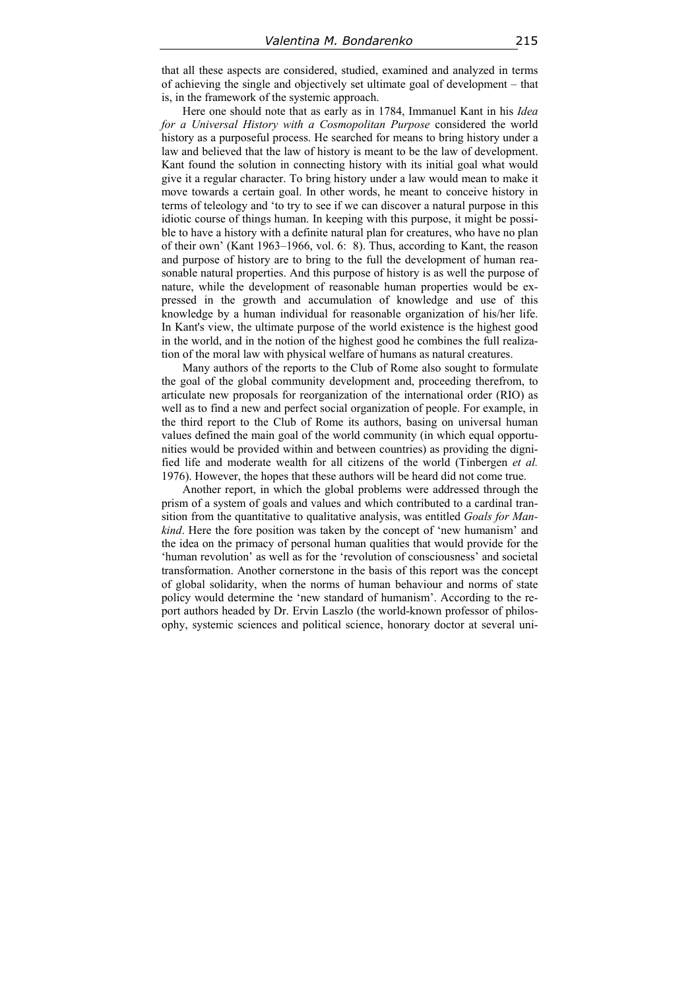that all these aspects are considered, studied, examined and analyzed in terms of achieving the single and objectively set ultimate goal of development – that is, in the framework of the systemic approach.

Here one should note that as early as in 1784, Immanuel Kant in his *Idea for a Universal History with a Cosmopolitan Purpose* considered the world history as a purposeful process. He searched for means to bring history under a law and believed that the law of history is meant to be the law of development. Kant found the solution in connecting history with its initial goal what would give it a regular character. To bring history under a law would mean to make it move towards a certain goal. In other words, he meant to conceive history in terms of teleology and 'to try to see if we can discover a natural purpose in this idiotic course of things human. In keeping with this purpose, it might be possible to have a history with a definite natural plan for creatures, who have no plan of their own' (Kant 1963–1966, vol. 6: 8). Thus, according to Kant, the reason and purpose of history are to bring to the full the development of human reasonable natural properties. And this purpose of history is as well the purpose of nature, while the development of reasonable human properties would be expressed in the growth and accumulation of knowledge and use of this knowledge by a human individual for reasonable organization of his/her life. In Kant's view, the ultimate purpose of the world existence is the highest good in the world, and in the notion of the highest good he combines the full realization of the moral law with physical welfare of humans as natural creatures.

Many authors of the reports to the Club of Rome also sought to formulate the goal of the global community development and, proceeding therefrom, to articulate new proposals for reorganization of the international order (RIO) as well as to find a new and perfect social organization of people. For example, in the third report to the Club of Rome its authors, basing on universal human values defined the main goal of the world community (in which equal opportunities would be provided within and between countries) as providing the dignified life and moderate wealth for all citizens of the world (Tinbergen *et al.* 1976). However, the hopes that these authors will be heard did not come true.

Another report, in which the global problems were addressed through the prism of a system of goals and values and which contributed to a cardinal transition from the quantitative to qualitative analysis, was entitled *Goals for Mankind*. Here the fore position was taken by the concept of 'new humanism' and the idea on the primacy of personal human qualities that would provide for the 'human revolution' as well as for the 'revolution of consciousness' and societal transformation. Another cornerstone in the basis of this report was the concept of global solidarity, when the norms of human behaviour and norms of state policy would determine the 'new standard of humanism'. According to the report authors headed by Dr. Ervin Laszlo (the world-known professor of philosophy, systemic sciences and political science, honorary doctor at several uni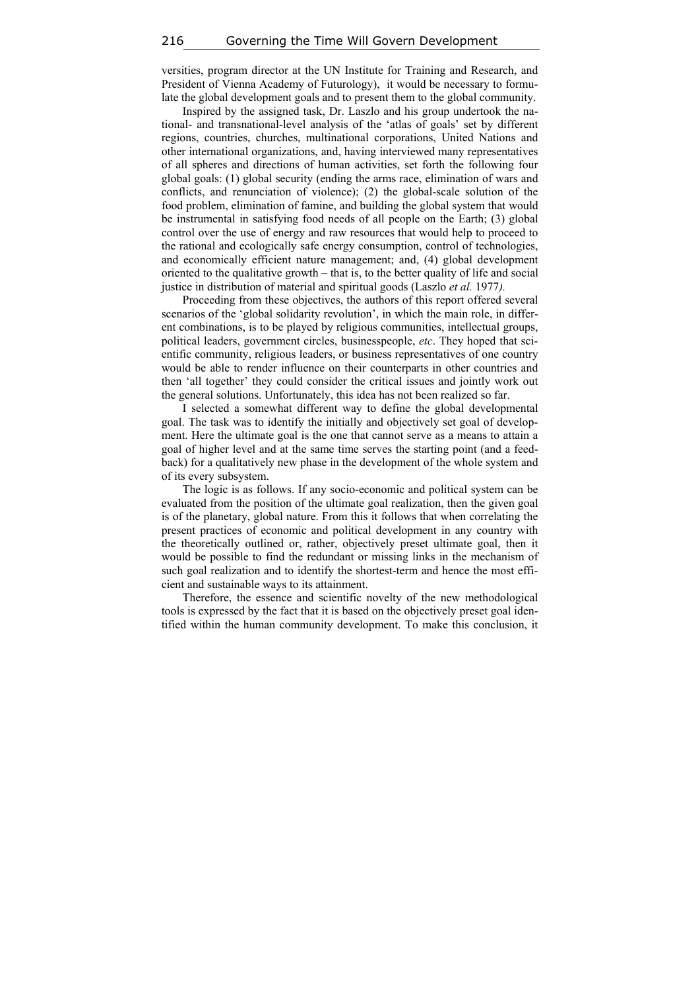versities, program director at the UN Institute for Training and Research, and President of Vienna Academy of Futurology), it would be necessary to formulate the global development goals and to present them to the global community.

Inspired by the assigned task, Dr. Laszlo and his group undertook the national- and transnational-level analysis of the 'atlas of goals' set by different regions, countries, churches, multinational corporations, United Nations and other international organizations, and, having interviewed many representatives of all spheres and directions of human activities, set forth the following four global goals: (1) global security (ending the arms race, elimination of wars and conflicts, and renunciation of violence); (2) the global-scale solution of the food problem, elimination of famine, and building the global system that would be instrumental in satisfying food needs of all people on the Earth; (3) global control over the use of energy and raw resources that would help to proceed to the rational and ecologically safe energy consumption, control of technologies, and economically efficient nature management; and, (4) global development oriented to the qualitative growth – that is, to the better quality of life and social justice in distribution of material and spiritual goods (Laszlo *et al.* 1977*).*

Proceeding from these objectives, the authors of this report offered several scenarios of the 'global solidarity revolution', in which the main role, in different combinations, is to be played by religious communities, intellectual groups, political leaders, government circles, businesspeople, *etc*. They hoped that scientific community, religious leaders, or business representatives of one country would be able to render influence on their counterparts in other countries and then 'all together' they could consider the critical issues and jointly work out the general solutions. Unfortunately, this idea has not been realized so far.

I selected a somewhat different way to define the global developmental goal. The task was to identify the initially and objectively set goal of development. Here the ultimate goal is the one that cannot serve as a means to attain a goal of higher level and at the same time serves the starting point (and a feedback) for a qualitatively new phase in the development of the whole system and of its every subsystem.

The logic is as follows. If any socio-economic and political system can be evaluated from the position of the ultimate goal realization, then the given goal is of the planetary, global nature. From this it follows that when correlating the present practices of economic and political development in any country with the theoretically outlined or, rather, objectively preset ultimate goal, then it would be possible to find the redundant or missing links in the mechanism of such goal realization and to identify the shortest-term and hence the most efficient and sustainable ways to its attainment.

Therefore, the essence and scientific novelty of the new methodological tools is expressed by the fact that it is based on the objectively preset goal identified within the human community development. To make this conclusion, it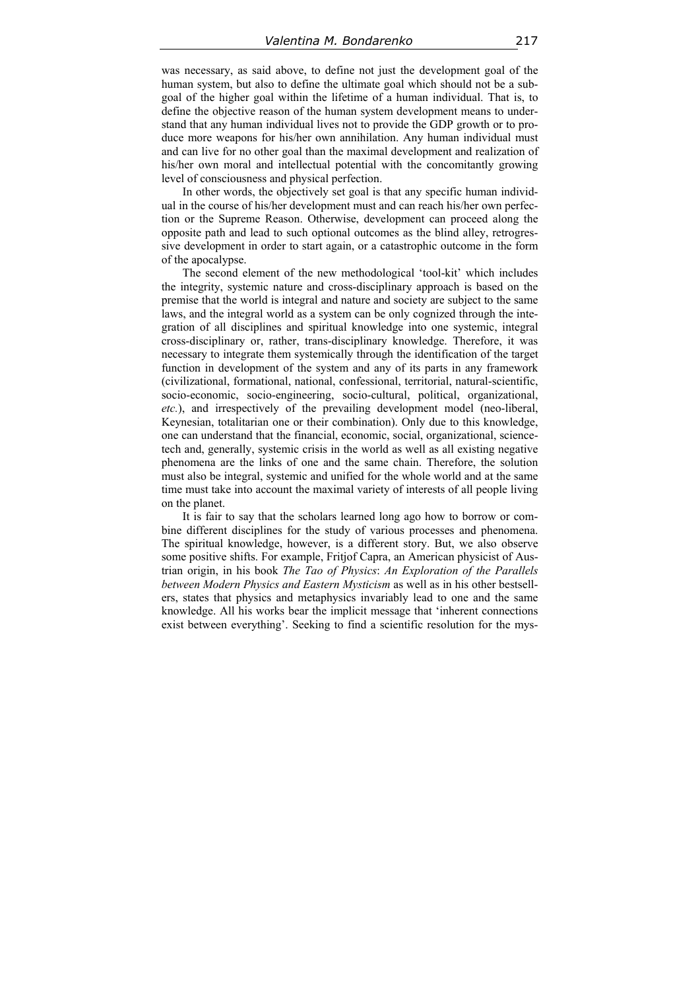was necessary, as said above, to define not just the development goal of the human system, but also to define the ultimate goal which should not be a subgoal of the higher goal within the lifetime of a human individual. That is, to define the objective reason of the human system development means to understand that any human individual lives not to provide the GDP growth or to produce more weapons for his/her own annihilation. Any human individual must and can live for no other goal than the maximal development and realization of his/her own moral and intellectual potential with the concomitantly growing level of consciousness and physical perfection.

In other words, the objectively set goal is that any specific human individual in the course of his/her development must and can reach his/her own perfection or the Supreme Reason. Otherwise, development can proceed along the opposite path and lead to such optional outcomes as the blind alley, retrogressive development in order to start again, or a catastrophic outcome in the form of the apocalypse.

The second element of the new methodological 'tool-kit' which includes the integrity, systemic nature and cross-disciplinary approach is based on the premise that the world is integral and nature and society are subject to the same laws, and the integral world as a system can be only cognized through the integration of all disciplines and spiritual knowledge into one systemic, integral cross-disciplinary or, rather, trans-disciplinary knowledge. Therefore, it was necessary to integrate them systemically through the identification of the target function in development of the system and any of its parts in any framework (civilizational, formational, national, confessional, territorial, natural-scientific, socio-economic, socio-engineering, socio-cultural, political, organizational, *etc.*), and irrespectively of the prevailing development model (neo-liberal, Keynesian, totalitarian one or their combination). Only due to this knowledge, one can understand that the financial, economic, social, organizational, sciencetech and, generally, systemic crisis in the world as well as all existing negative phenomena are the links of one and the same chain. Therefore, the solution must also be integral, systemic and unified for the whole world and at the same time must take into account the maximal variety of interests of all people living on the planet.

It is fair to say that the scholars learned long ago how to borrow or combine different disciplines for the study of various processes and phenomena. The spiritual knowledge, however, is a different story. But, we also observe some positive shifts. For example, Fritjof Capra, an American physicist of Austrian origin, in his book *The Tao of Physics*: *An Exploration of the Parallels between Modern Physics and Eastern Mysticism* as well as in his other bestsellers, states that physics and metaphysics invariably lead to one and the same knowledge. All his works bear the implicit message that 'inherent connections exist between everything'. Seeking to find a scientific resolution for the mys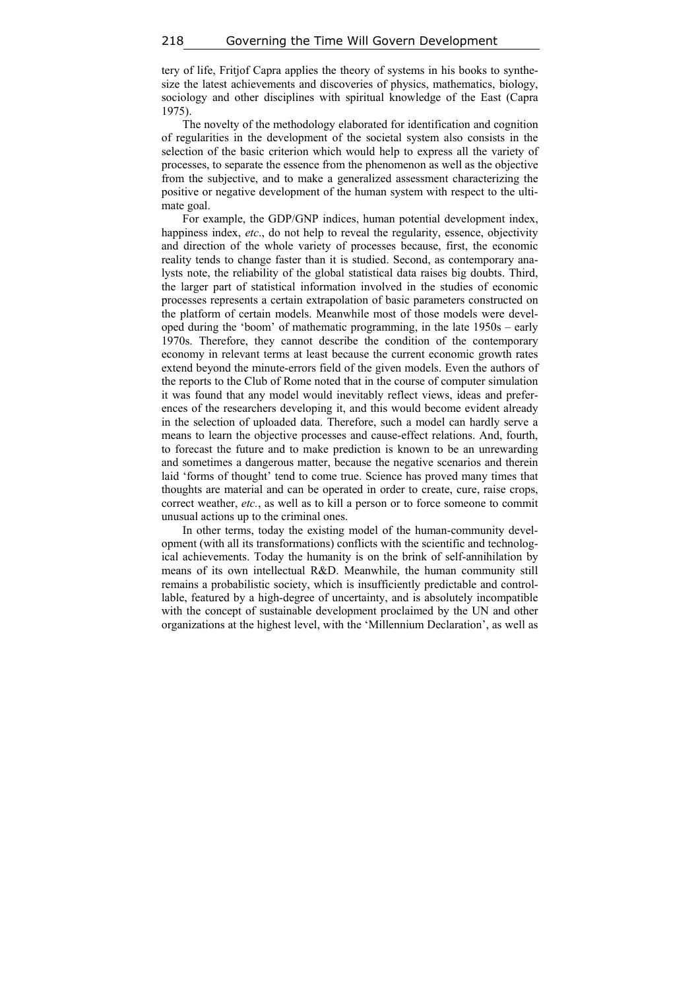tery of life, Fritjof Capra applies the theory of systems in his books to synthesize the latest achievements and discoveries of physics, mathematics, biology, sociology and other disciplines with spiritual knowledge of the East (Capra 1975).

The novelty of the methodology elaborated for identification and cognition of regularities in the development of the societal system also consists in the selection of the basic criterion which would help to express all the variety of processes, to separate the essence from the phenomenon as well as the objective from the subjective, and to make a generalized assessment characterizing the positive or negative development of the human system with respect to the ultimate goal.

For example, the GDP/GNP indices, human potential development index, happiness index, *etc*., do not help to reveal the regularity, essence, objectivity and direction of the whole variety of processes because, first, the economic reality tends to change faster than it is studied. Second, as contemporary analysts note, the reliability of the global statistical data raises big doubts. Third, the larger part of statistical information involved in the studies of economic processes represents a certain extrapolation of basic parameters constructed on the platform of certain models. Meanwhile most of those models were developed during the 'boom' of mathematic programming, in the late 1950s – early 1970s. Therefore, they cannot describe the condition of the contemporary economy in relevant terms at least because the current economic growth rates extend beyond the minute-errors field of the given models. Even the authors of the reports to the Club of Rome noted that in the course of computer simulation it was found that any model would inevitably reflect views, ideas and preferences of the researchers developing it, and this would become evident already in the selection of uploaded data. Therefore, such a model can hardly serve a means to learn the objective processes and cause-effect relations. And, fourth, to forecast the future and to make prediction is known to be an unrewarding and sometimes a dangerous matter, because the negative scenarios and therein laid 'forms of thought' tend to come true. Science has proved many times that thoughts are material and can be operated in order to create, cure, raise crops, correct weather, *etc.*, as well as to kill a person or to force someone to commit unusual actions up to the criminal ones.

In other terms, today the existing model of the human-community development (with all its transformations) conflicts with the scientific and technological achievements. Today the humanity is on the brink of self-annihilation by means of its own intellectual R&D. Meanwhile, the human community still remains a probabilistic society, which is insufficiently predictable and controllable, featured by a high-degree of uncertainty, and is absolutely incompatible with the concept of sustainable development proclaimed by the UN and other organizations at the highest level, with the 'Millennium Declaration', as well as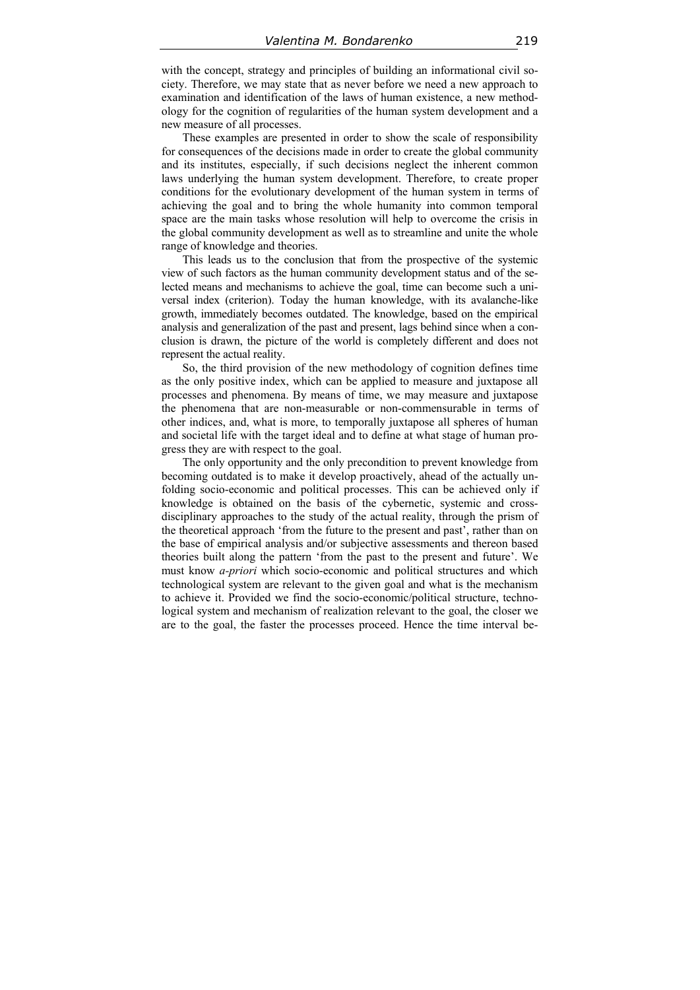with the concept, strategy and principles of building an informational civil society. Therefore, we may state that as never before we need a new approach to examination and identification of the laws of human existence, a new methodology for the cognition of regularities of the human system development and a new measure of all processes.

These examples are presented in order to show the scale of responsibility for consequences of the decisions made in order to create the global community and its institutes, especially, if such decisions neglect the inherent common laws underlying the human system development. Therefore, to create proper conditions for the evolutionary development of the human system in terms of achieving the goal and to bring the whole humanity into common temporal space are the main tasks whose resolution will help to overcome the crisis in the global community development as well as to streamline and unite the whole range of knowledge and theories.

This leads us to the conclusion that from the prospective of the systemic view of such factors as the human community development status and of the selected means and mechanisms to achieve the goal, time can become such a universal index (criterion). Today the human knowledge, with its avalanche-like growth, immediately becomes outdated. The knowledge, based on the empirical analysis and generalization of the past and present, lags behind since when a conclusion is drawn, the picture of the world is completely different and does not represent the actual reality.

So, the third provision of the new methodology of cognition defines time as the only positive index, which can be applied to measure and juxtapose all processes and phenomena. By means of time, we may measure and juxtapose the phenomena that are non-measurable or non-commensurable in terms of other indices, and, what is more, to temporally juxtapose all spheres of human and societal life with the target ideal and to define at what stage of human progress they are with respect to the goal.

The only opportunity and the only precondition to prevent knowledge from becoming outdated is to make it develop proactively, ahead of the actually unfolding socio-economic and political processes. This can be achieved only if knowledge is obtained on the basis of the cybernetic, systemic and crossdisciplinary approaches to the study of the actual reality, through the prism of the theoretical approach 'from the future to the present and past', rather than on the base of empirical analysis and/or subjective assessments and thereon based theories built along the pattern 'from the past to the present and future'. We must know *a-priori* which socio-economic and political structures and which technological system are relevant to the given goal and what is the mechanism to achieve it. Provided we find the socio-economic/political structure, technological system and mechanism of realization relevant to the goal, the closer we are to the goal, the faster the processes proceed. Hence the time interval be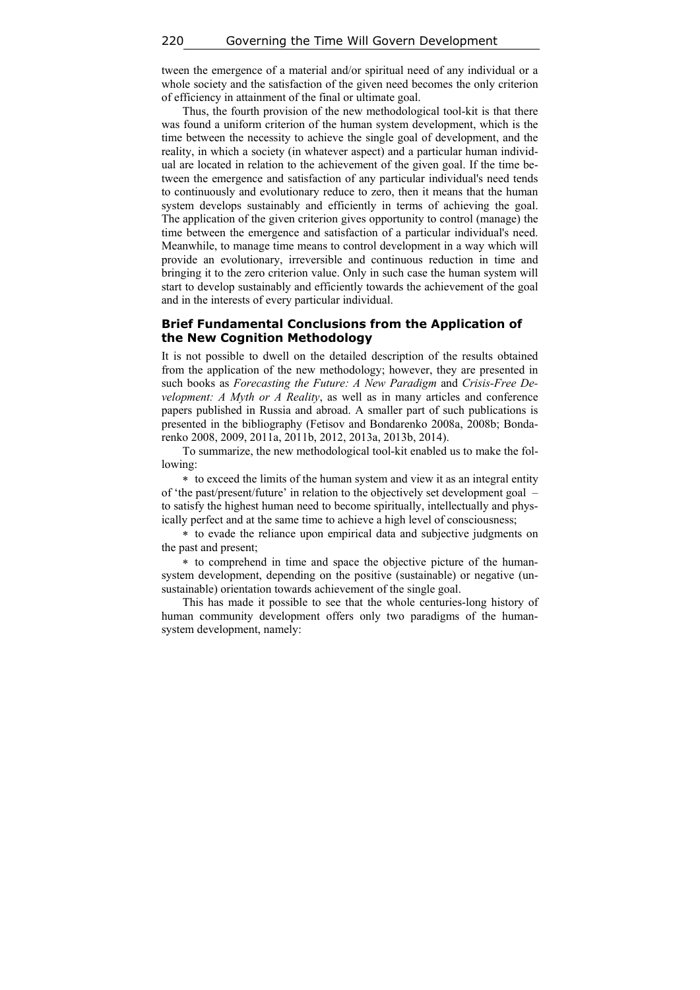tween the emergence of a material and/or spiritual need of any individual or a whole society and the satisfaction of the given need becomes the only criterion of efficiency in attainment of the final or ultimate goal.

Thus, the fourth provision of the new methodological tool-kit is that there was found a uniform criterion of the human system development, which is the time between the necessity to achieve the single goal of development, and the reality, in which a society (in whatever aspect) and a particular human individual are located in relation to the achievement of the given goal. If the time between the emergence and satisfaction of any particular individual's need tends to continuously and evolutionary reduce to zero, then it means that the human system develops sustainably and efficiently in terms of achieving the goal. The application of the given criterion gives opportunity to control (manage) the time between the emergence and satisfaction of a particular individual's need. Meanwhile, to manage time means to control development in a way which will provide an evolutionary, irreversible and continuous reduction in time and bringing it to the zero criterion value. Only in such case the human system will start to develop sustainably and efficiently towards the achievement of the goal and in the interests of every particular individual.

### **Brief Fundamental Conclusions from the Application of the New Cognition Methodology**

It is not possible to dwell on the detailed description of the results obtained from the application of the new methodology; however, they are presented in such books as *Forecasting the Future: A New Paradigm* and *Crisis-Free Development: A Myth or A Reality*, as well as in many articles and conference papers published in Russia and abroad. A smaller part of such publications is presented in the bibliography (Fetisov and Bondarenko 2008a, 2008b; Bondarenko 2008, 2009, 2011a, 2011b, 2012, 2013a, 2013b, 2014).

To summarize, the new methodological tool-kit enabled us to make the following:

 to exceed the limits of the human system and view it as an integral entity of 'the past/present/future' in relation to the objectively set development goal – to satisfy the highest human need to become spiritually, intellectually and physically perfect and at the same time to achieve a high level of consciousness;

 to evade the reliance upon empirical data and subjective judgments on the past and present;

 to comprehend in time and space the objective picture of the humansystem development, depending on the positive (sustainable) or negative (unsustainable) orientation towards achievement of the single goal.

This has made it possible to see that the whole centuries-long history of human community development offers only two paradigms of the humansystem development, namely: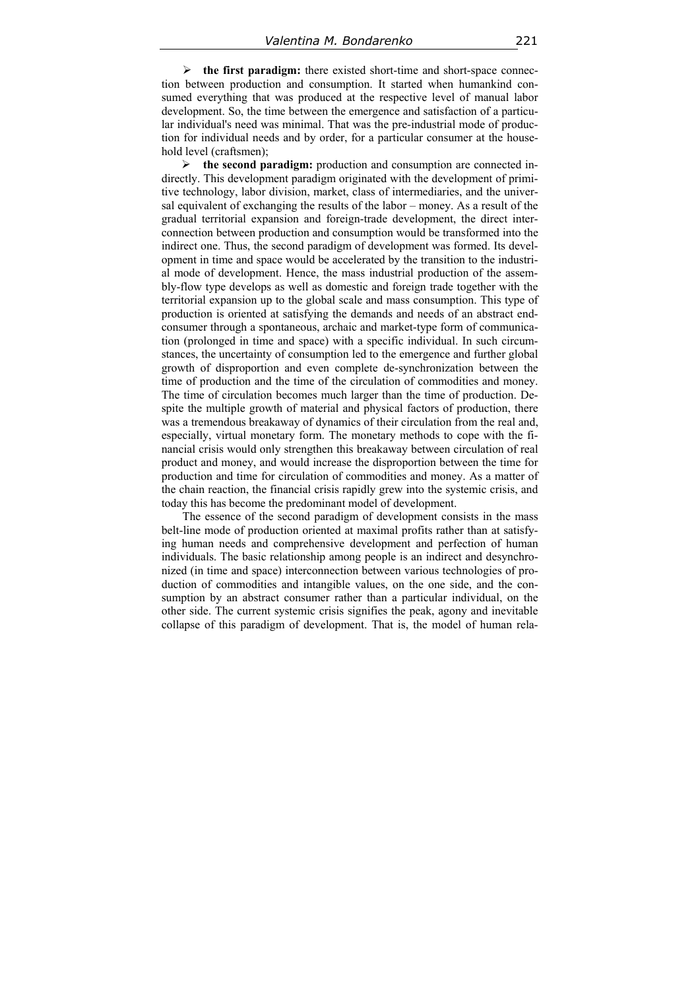**the first paradigm:** there existed short-time and short-space connection between production and consumption. It started when humankind consumed everything that was produced at the respective level of manual labor development. So, the time between the emergence and satisfaction of a particular individual's need was minimal. That was the pre-industrial mode of production for individual needs and by order, for a particular consumer at the household level (craftsmen);

 **the second paradigm:** production and consumption are connected indirectly. This development paradigm originated with the development of primitive technology, labor division, market, class of intermediaries, and the universal equivalent of exchanging the results of the labor – money. As a result of the gradual territorial expansion and foreign-trade development, the direct interconnection between production and consumption would be transformed into the indirect one. Thus, the second paradigm of development was formed. Its development in time and space would be accelerated by the transition to the industrial mode of development. Hence, the mass industrial production of the assembly-flow type develops as well as domestic and foreign trade together with the territorial expansion up to the global scale and mass consumption. This type of production is oriented at satisfying the demands and needs of an abstract endconsumer through a spontaneous, archaic and market-type form of communication (prolonged in time and space) with a specific individual. In such circumstances, the uncertainty of consumption led to the emergence and further global growth of disproportion and even complete de-synchronization between the time of production and the time of the circulation of commodities and money. The time of circulation becomes much larger than the time of production. Despite the multiple growth of material and physical factors of production, there was a tremendous breakaway of dynamics of their circulation from the real and, especially, virtual monetary form. The monetary methods to cope with the financial crisis would only strengthen this breakaway between circulation of real product and money, and would increase the disproportion between the time for production and time for circulation of commodities and money. As a matter of the chain reaction, the financial crisis rapidly grew into the systemic crisis, and today this has become the predominant model of development.

The essence of the second paradigm of development consists in the mass belt-line mode of production oriented at maximal profits rather than at satisfying human needs and comprehensive development and perfection of human individuals. The basic relationship among people is an indirect and desynchronized (in time and space) interconnection between various technologies of production of commodities and intangible values, on the one side, and the consumption by an abstract consumer rather than a particular individual, on the other side. The current systemic crisis signifies the peak, agony and inevitable collapse of this paradigm of development. That is, the model of human rela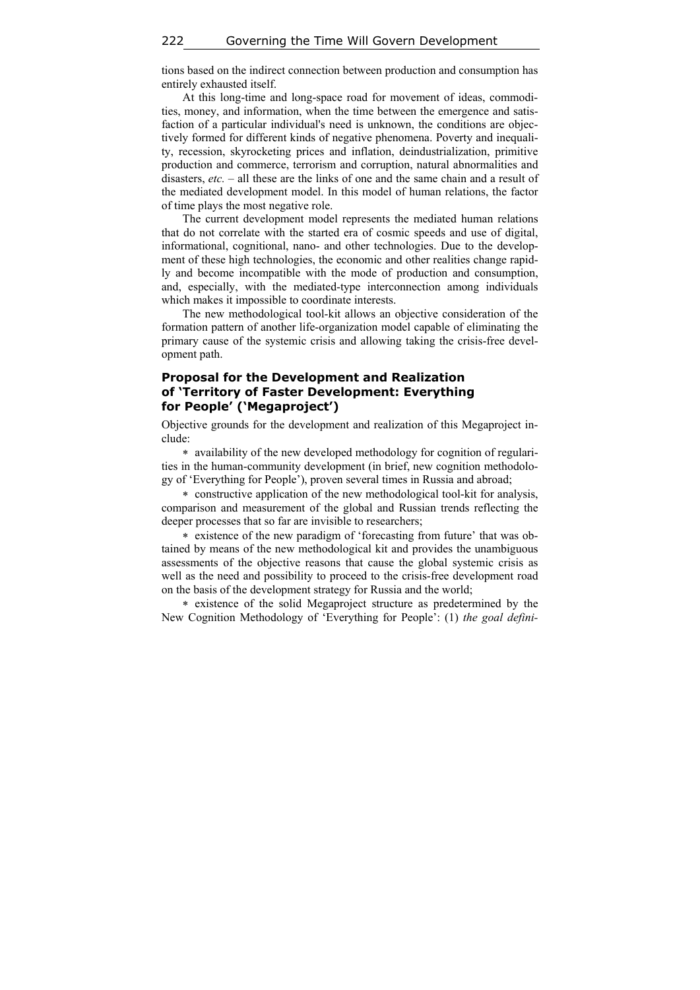tions based on the indirect connection between production and consumption has entirely exhausted itself.

At this long-time and long-space road for movement of ideas, commodities, money, and information, when the time between the emergence and satisfaction of a particular individual's need is unknown, the conditions are objectively formed for different kinds of negative phenomena. Poverty and inequality, recession, skyrocketing prices and inflation, deindustrialization, primitive production and commerce, terrorism and corruption, natural abnormalities and disasters, *etc.* – all these are the links of one and the same chain and a result of the mediated development model. In this model of human relations, the factor of time plays the most negative role.

The current development model represents the mediated human relations that do not correlate with the started era of cosmic speeds and use of digital, informational, cognitional, nano- and other technologies. Due to the development of these high technologies, the economic and other realities change rapidly and become incompatible with the mode of production and consumption, and, especially, with the mediated-type interconnection among individuals which makes it impossible to coordinate interests.

The new methodological tool-kit allows an objective consideration of the formation pattern of another life-organization model capable of eliminating the primary cause of the systemic crisis and allowing taking the crisis-free development path.

### **Proposal for the Development and Realization of 'Territory of Faster Development: Everything for People' ('Megaproject')**

Objective grounds for the development and realization of this Megaproject include:

 availability of the new developed methodology for cognition of regularities in the human-community development (in brief, new cognition methodology of 'Everything for People'), proven several times in Russia and abroad;

 constructive application of the new methodological tool-kit for analysis, comparison and measurement of the global and Russian trends reflecting the deeper processes that so far are invisible to researchers;

 existence of the new paradigm of 'forecasting from future' that was obtained by means of the new methodological kit and provides the unambiguous assessments of the objective reasons that cause the global systemic crisis as well as the need and possibility to proceed to the crisis-free development road on the basis of the development strategy for Russia and the world;

 existence of the solid Megaproject structure as predetermined by the New Cognition Methodology of 'Everything for People': (1) *the goal defini-*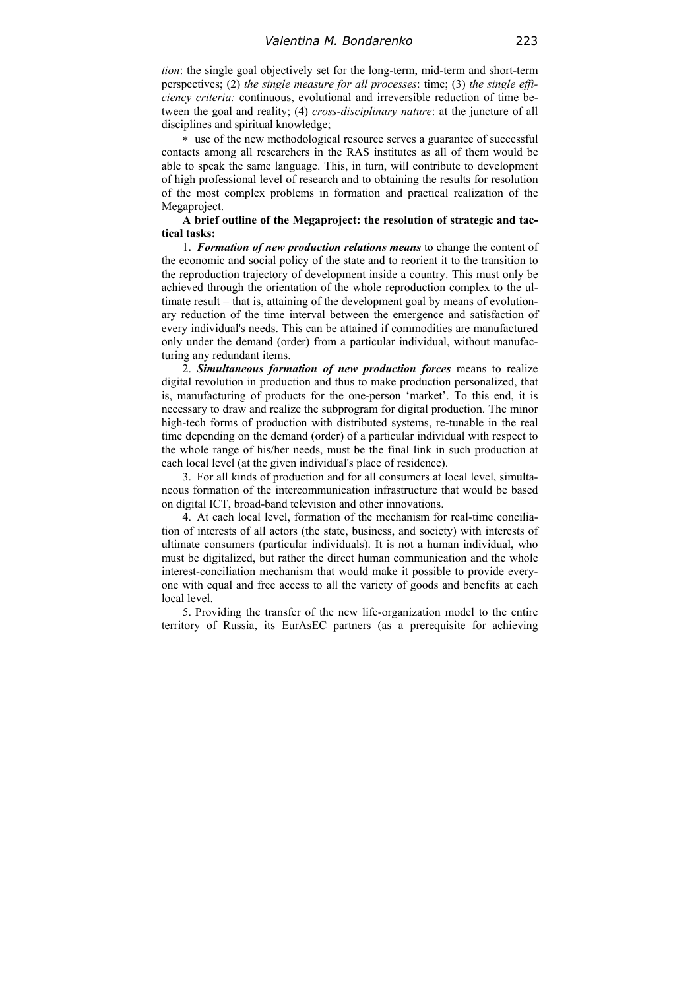*tion*: the single goal objectively set for the long-term, mid-term and short-term perspectives; (2) *the single measure for all processes*: time; (3) *the single efficiency criteria:* continuous, evolutional and irreversible reduction of time between the goal and reality; (4) *cross-disciplinary nature*: at the juncture of all disciplines and spiritual knowledge;

 use of the new methodological resource serves a guarantee of successful contacts among all researchers in the RAS institutes as all of them would be able to speak the same language. This, in turn, will contribute to development of high professional level of research and to obtaining the results for resolution of the most complex problems in formation and practical realization of the Megaproject.

#### **A brief outline of the Megaproject: the resolution of strategic and tactical tasks:**

1. *Formation of new production relations means* to change the content of the economic and social policy of the state and to reorient it to the transition to the reproduction trajectory of development inside a country. This must only be achieved through the orientation of the whole reproduction complex to the ultimate result – that is, attaining of the development goal by means of evolutionary reduction of the time interval between the emergence and satisfaction of every individual's needs. This can be attained if commodities are manufactured only under the demand (order) from a particular individual, without manufacturing any redundant items.

2. *Simultaneous formation of new production forces* means to realize digital revolution in production and thus to make production personalized, that is, manufacturing of products for the one-person 'market'. To this end, it is necessary to draw and realize the subprogram for digital production. The minor high-tech forms of production with distributed systems, re-tunable in the real time depending on the demand (order) of a particular individual with respect to the whole range of his/her needs, must be the final link in such production at each local level (at the given individual's place of residence).

3. For all kinds of production and for all consumers at local level, simultaneous formation of the intercommunication infrastructure that would be based on digital ICT, broad-band television and other innovations.

4. At each local level, formation of the mechanism for real-time conciliation of interests of all actors (the state, business, and society) with interests of ultimate consumers (particular individuals). It is not a human individual, who must be digitalized, but rather the direct human communication and the whole interest-conciliation mechanism that would make it possible to provide everyone with equal and free access to all the variety of goods and benefits at each local level.

5. Providing the transfer of the new life-organization model to the entire territory of Russia, its EurAsEC partners (as a prerequisite for achieving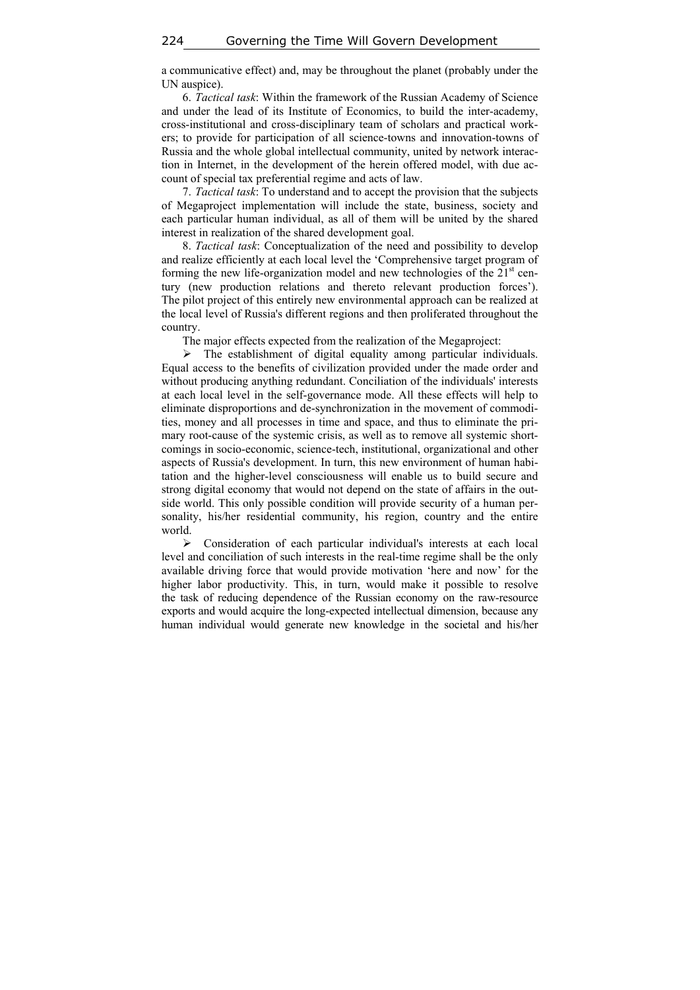a communicative effect) and, may be throughout the planet (probably under the UN auspice).

6. *Tactical task*: Within the framework of the Russian Academy of Science and under the lead of its Institute of Economics, to build the inter-academy, cross-institutional and cross-disciplinary team of scholars and practical workers; to provide for participation of all science-towns and innovation-towns of Russia and the whole global intellectual community, united by network interaction in Internet, in the development of the herein offered model, with due account of special tax preferential regime and acts of law.

7. *Tactical task*: To understand and to accept the provision that the subjects of Megaproject implementation will include the state, business, society and each particular human individual, as all of them will be united by the shared interest in realization of the shared development goal.

8. *Tactical task*: Conceptualization of the need and possibility to develop and realize efficiently at each local level the 'Comprehensive target program of forming the new life-organization model and new technologies of the  $21<sup>st</sup>$  century (new production relations and thereto relevant production forces'). The pilot project of this entirely new environmental approach can be realized at the local level of Russia's different regions and then proliferated throughout the country.

The major effects expected from the realization of the Megaproject:

 $\triangleright$  The establishment of digital equality among particular individuals. Equal access to the benefits of civilization provided under the made order and without producing anything redundant. Conciliation of the individuals' interests at each local level in the self-governance mode. All these effects will help to eliminate disproportions and de-synchronization in the movement of commodities, money and all processes in time and space, and thus to eliminate the primary root-cause of the systemic crisis, as well as to remove all systemic shortcomings in socio-economic, science-tech, institutional, organizational and other aspects of Russia's development. In turn, this new environment of human habitation and the higher-level consciousness will enable us to build secure and strong digital economy that would not depend on the state of affairs in the outside world. This only possible condition will provide security of a human personality, his/her residential community, his region, country and the entire world.

 Consideration of each particular individual's interests at each local level and conciliation of such interests in the real-time regime shall be the only available driving force that would provide motivation 'here and now' for the higher labor productivity. This, in turn, would make it possible to resolve the task of reducing dependence of the Russian economy on the raw-resource exports and would acquire the long-expected intellectual dimension, because any human individual would generate new knowledge in the societal and his/her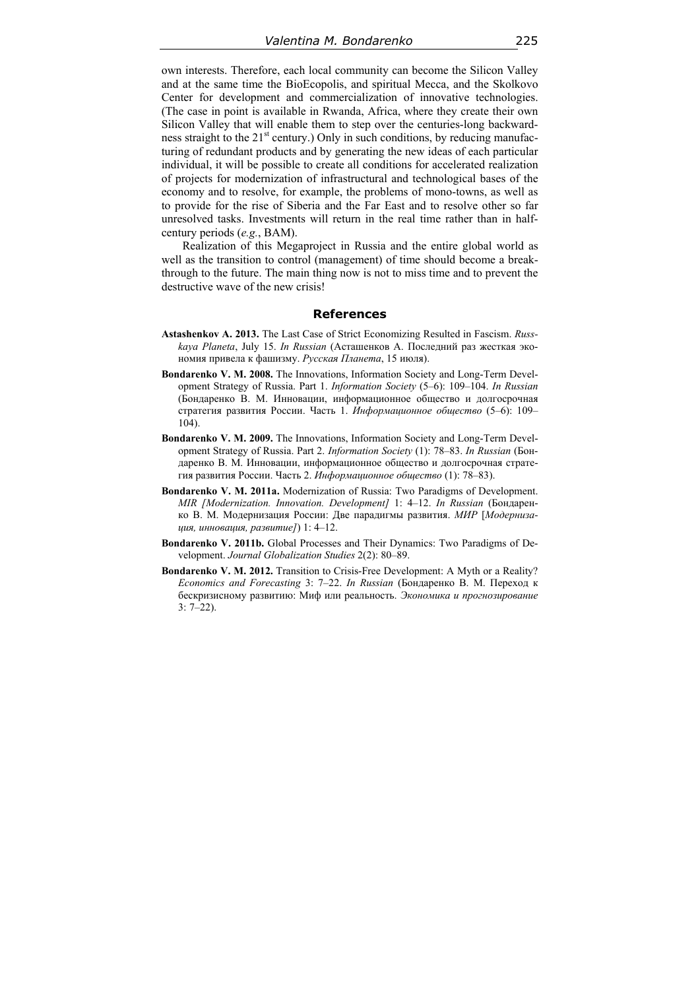own interests. Therefore, each local community can become the Silicon Valley and at the same time the BioEcopolis, and spiritual Mecca, and the Skolkovo Center for development and commercialization of innovative technologies. (The case in point is available in Rwanda, Africa, where they create their own Silicon Valley that will enable them to step over the centuries-long backwardness straight to the  $21<sup>st</sup>$  century.) Only in such conditions, by reducing manufacturing of redundant products and by generating the new ideas of each particular individual, it will be possible to create all conditions for accelerated realization of projects for modernization of infrastructural and technological bases of the economy and to resolve, for example, the problems of mono-towns, as well as to provide for the rise of Siberia and the Far East and to resolve other so far unresolved tasks. Investments will return in the real time rather than in halfcentury periods (*e.g.*, BAM).

Realization of this Megaproject in Russia and the entire global world as well as the transition to control (management) of time should become a breakthrough to the future. The main thing now is not to miss time and to prevent the destructive wave of the new crisis!

#### **References**

- **Astashenkov A. 2013.** The Last Case of Strict Economizing Resulted in Fascism. *Russkaya Planeta*, July 15. *In Russian* (Асташенков А. Последний раз жесткая экономия привела к фашизму. *Русская Планета*, 15 июля).
- **Bondarenko V. M. 2008.** The Innovations, Information Society and Long-Term Development Strategy of Russia. Part 1. *Information Society* (5–6): 109–104. *In Russian* (Бондаренко В. М. Инновации, информационное общество и долгосрочная стратегия развития России. Часть 1. *Информационное общество* (5–6): 109–  $104$
- **Bondarenko V. M. 2009.** The Innovations, Information Society and Long-Term Development Strategy of Russia. Part 2. *Information Society* (1): 78–83. *In Russian* (Бондаренко В. М. Инновации, информационное общество и долгосрочная стратегия развития России. Часть 2. *Информационное общество* (1): 78–83).
- **Bondarenko V. M. 2011а.** Modernization of Russia: Two Paradigms of Development. *MIR [Modernization. Innovation. Development]* 1: 4–12. *In Russian* (Бондаренко В. М. Модернизация России: Две парадигмы развития. *МИР* [*Модернизация, инновация, развитие]*) 1: 4–12.
- **Bondarenko V. 2011b.** Global Processes and Their Dynamics: Two Paradigms of Development. *Journal Globalization Studies* 2(2): 80–89.
- **Bondarenko V. M. 2012.** Transition to Crisis-Free Development: A Myth or a Reality? *Economics and Forecasting* 3: 7–22. *In Russian* (Бондаренко В. М. Переход к бескризисному развитию: Миф или реальность. *Экономика и прогнозирование* 3: 7–22).